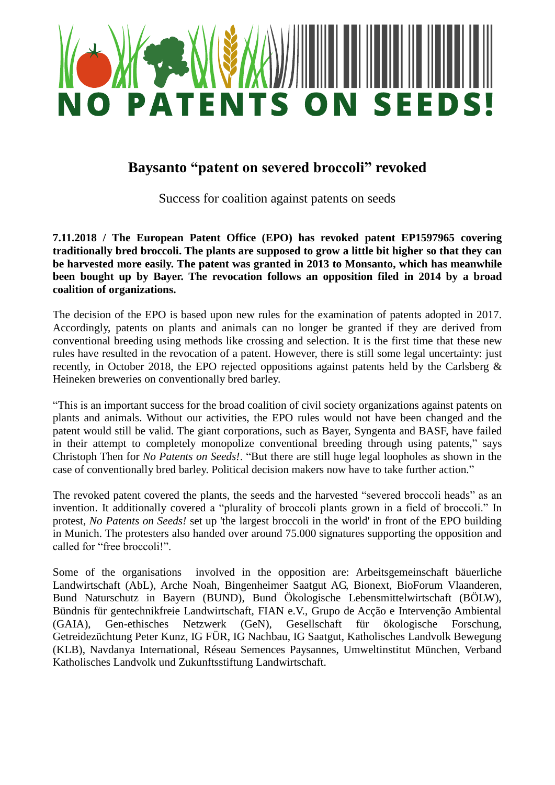

## **Baysanto "patent on severed broccoli" revoked**

Success for coalition against patents on seeds

**7.11.2018 / The European Patent Office (EPO) has revoked patent EP1597965 covering traditionally bred broccoli. The plants are supposed to grow a little bit higher so that they can be harvested more easily. The patent was granted in 2013 to Monsanto, which has meanwhile been bought up by Bayer. The revocation follows an opposition filed in 2014 by a broad coalition of organizations.** 

The decision of the EPO is based upon new rules for the examination of patents adopted in 2017. Accordingly, patents on plants and animals can no longer be granted if they are derived from conventional breeding using methods like crossing and selection. It is the first time that these new rules have resulted in the revocation of a patent. However, there is still some legal uncertainty: just recently, in October 2018, the EPO rejected oppositions against patents held by the Carlsberg & Heineken breweries on conventionally bred barley.

"This is an important success for the broad coalition of civil society organizations against patents on plants and animals. Without our activities, the EPO rules would not have been changed and the patent would still be valid. The giant corporations, such as Bayer, Syngenta and BASF, have failed in their attempt to completely monopolize conventional breeding through using patents," says Christoph Then for *No Patents on Seeds!*. "But there are still huge legal loopholes as shown in the case of conventionally bred barley. Political decision makers now have to take further action."

The revoked patent covered the plants, the seeds and the harvested "severed broccoli heads" as an invention. It additionally covered a "plurality of broccoli plants grown in a field of broccoli." In protest, *No Patents on Seeds!* set up 'the largest broccoli in the world' in front of the EPO building in Munich. The protesters also handed over around 75.000 signatures supporting the opposition and called for "free broccoli!".

Some of the organisations involved in the opposition are: Arbeitsgemeinschaft bäuerliche Landwirtschaft (AbL), Arche Noah, Bingenheimer Saatgut AG, Bionext, BioForum Vlaanderen, Bund Naturschutz in Bayern (BUND), Bund Ökologische Lebensmittelwirtschaft (BÖLW), Bündnis für gentechnikfreie Landwirtschaft, FIAN e.V., Grupo de Acção e Intervenção Ambiental (GAIA), Gen-ethisches Netzwerk (GeN), Gesellschaft für ökologische Forschung, Getreidezüchtung Peter Kunz, IG FÜR, IG Nachbau, IG Saatgut, Katholisches Landvolk Bewegung (KLB), Navdanya International, Réseau Semences Paysannes, Umweltinstitut München, Verband Katholisches Landvolk und Zukunftsstiftung Landwirtschaft.